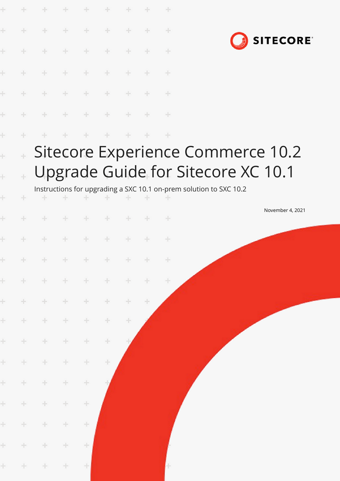|                                   |                          |                 |       | ÷      |               |       |        | ÷     |                                                                         |  |
|-----------------------------------|--------------------------|-----------------|-------|--------|---------------|-------|--------|-------|-------------------------------------------------------------------------|--|
| ÷                                 | ÷                        | $+$             | $+$   | $+$    | $\div$        | ÷     | ÷      | ÷     | <b>SITECORE</b>                                                         |  |
| ÷                                 | ÷                        | $\div$          | $+$   | $+$    | ÷             | ÷     | ÷      | ÷     |                                                                         |  |
| ÷                                 | ÷                        | $+$             | $+$   | $+$    | $\oplus$      | $+$   | $+$    | $+$   |                                                                         |  |
| ÷                                 | ÷                        | $+$             | $+$   | $+$    | $+$           | $+$   | $+$    | $+$   |                                                                         |  |
| ÷                                 | ÷                        | ÷               | $\pm$ | $+$    | $\rightarrow$ | $+$   | $+$    | $+$   |                                                                         |  |
| ÷                                 | ÷                        | ÷               |       | ÷      | $+$           | ÷     | ÷      | $+$   |                                                                         |  |
| $\ddot{}$<br>$\ddot{\phantom{0}}$ | $\pm$<br>$\pm$           |                 |       |        |               |       |        |       | Sitecore Experience Commerce 10.2<br>Upgrade Guide for Sitecore XC 10.1 |  |
|                                   |                          |                 |       |        |               |       |        |       | Instructions for upgrading a SXC 10.1 on-prem solution to SXC 10.2      |  |
| ÷                                 | ÷                        |                 |       | ÷      |               |       |        |       | November 4, 2021                                                        |  |
| ÷                                 |                          | ÷               |       | ÷      | $+$           | ÷     | ÷      | $+$   |                                                                         |  |
| ÷                                 |                          | ÷               | ÷     | ÷      | $+$           | ÷     | ÷      | $\pm$ |                                                                         |  |
| $+$                               |                          | * * * * * * * * |       |        |               |       |        |       |                                                                         |  |
| ÷                                 | $\frac{1}{2} \mathbb{Z}$ | $+$             | ÷     | $\pm$  | ÷             | ÷     | ÷      | ÷     |                                                                         |  |
| ÷.                                | $\pm$                    | ÷               | $\pm$ | ÷      | ÷             | ÷.    | $\div$ |       |                                                                         |  |
| ÷                                 | ÷.                       | ÷               | ÷.    | $\div$ | ÷.            | $\pm$ |        |       |                                                                         |  |
| ÷                                 | ÷                        | ÷.              | ÷.    | $\div$ | ÷             |       |        |       |                                                                         |  |
| ÷                                 | ÷                        | ÷               | ÷     | $\div$ | ÷             |       |        |       |                                                                         |  |
| ÷                                 | ÷                        | ÷               | ÷     | $\div$ |               |       |        |       |                                                                         |  |
| ÷                                 | ÷                        | ÷               | ÷     | $\div$ |               |       |        |       |                                                                         |  |
| ÷                                 | ÷                        | ÷               | ÷.    | ÷      |               |       |        |       |                                                                         |  |
| ÷                                 | ÷                        | ÷               | ÷.    | ÷      |               |       |        |       |                                                                         |  |
| $\pm$                             | ÷                        | $\div$          | ÷     | $\div$ |               |       |        | H     |                                                                         |  |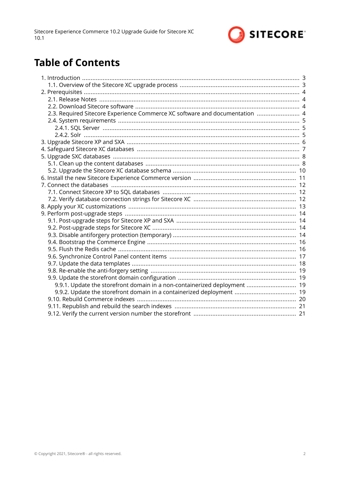

# **Table of Contents**

| 2.3. Required Sitecore Experience Commerce XC software and documentation  4 |  |
|-----------------------------------------------------------------------------|--|
|                                                                             |  |
|                                                                             |  |
|                                                                             |  |
|                                                                             |  |
|                                                                             |  |
|                                                                             |  |
|                                                                             |  |
|                                                                             |  |
|                                                                             |  |
|                                                                             |  |
|                                                                             |  |
|                                                                             |  |
|                                                                             |  |
|                                                                             |  |
|                                                                             |  |
|                                                                             |  |
|                                                                             |  |
|                                                                             |  |
|                                                                             |  |
|                                                                             |  |
|                                                                             |  |
|                                                                             |  |
|                                                                             |  |
| 9.9.1. Update the storefront domain in a non-containerized deployment  19   |  |
| 9.9.2. Update the storefront domain in a containerized deployment  19       |  |
|                                                                             |  |
|                                                                             |  |
|                                                                             |  |
|                                                                             |  |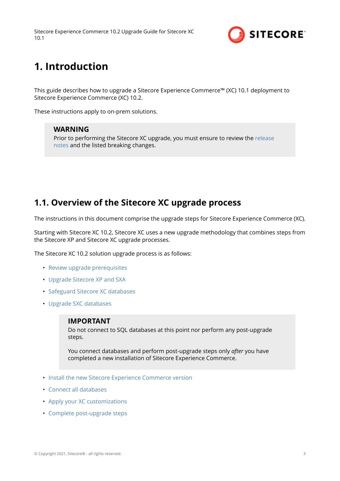

# <span id="page-2-0"></span>**1. Introduction**

This guide describes how to upgrade a Sitecore Experience Commerce™ (XC) 10.1 deployment to Sitecore Experience Commerce (XC) 10.2.

These instructions apply to on-prem solutions.

### **WARNING**

Prior to performing the Sitecore XC upgrade, you must ensure to review the [release](https://dev.sitecore.net/Downloads/Sitecore_Commerce/102/Sitecore_Experience_Commerce_102.aspx) [notes](https://dev.sitecore.net/Downloads/Sitecore_Commerce/102/Sitecore_Experience_Commerce_102.aspx) and the listed breaking changes.

## **1.1. Overview of the Sitecore XC upgrade process**

The instructions in this document comprise the upgrade steps for Sitecore Experience Commerce (XC).

Starting with Sitecore XC 10.2, Sitecore XC uses a new upgrade methodology that combines steps from the Sitecore XP and Sitecore XC upgrade processes.

The Sitecore XC 10.2 solution upgrade process is as follows:

- [Review upgrade prerequisites](#page-3-0)
- [Upgrade Sitecore XP and SXA](#page-5-0)
- [Safeguard Sitecore XC databases](#page-6-0)
- [Upgrade SXC databases](#page-7-0)

#### **IMPORTANT**

Do not connect to SQL databases at this point nor perform any post-upgrade steps.

You connect databases and perform post-upgrade steps only *after* you have completed a new installation of Sitecore Experience Commerce.

- [Install the new Sitecore Experience Commerce version](#page-10-0)
- [Connect all databases](#page-11-0)
- [Apply your XC customizations](#page-12-0)
- [Complete post-upgrade steps](#page-13-0)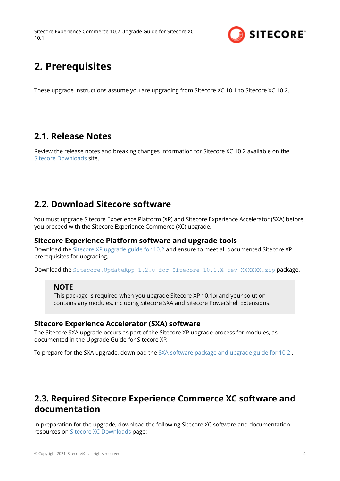

# <span id="page-3-0"></span>**2. Prerequisites**

These upgrade instructions assume you are upgrading from Sitecore XC 10.1 to Sitecore XC 10.2.

## **2.1. Release Notes**

Review the release notes and breaking changes information for Sitecore XC 10.2 available on the [Sitecore Downloads](https://dev.sitecore.net/Downloads/Sitecore_Commerce/102/Sitecore_Experience_Commerce_102.aspx) site.

## **2.2. Download Sitecore software**

You must upgrade Sitecore Experience Platform (XP) and Sitecore Experience Accelerator (SXA) before you proceed with the Sitecore Experience Commerce (XC) upgrade.

### **Sitecore Experience Platform software and upgrade tools**

Download the [Sitecore XP upgrade guide for 10.2](https://dev.sitecore.net/Downloads/Sitecore_Experience_Platform/102/Sitecore_Experience_Platform_102.aspx) and ensure to meet all documented Sitecore XP prerequisites for upgrading.

Download the Sitecore. UpdateApp 1.2.0 for Sitecore 10.1.X rev XXXXXX.zip package.

### **NOTE**

This package is required when you upgrade Sitecore XP 10.1.x and your solution contains any modules, including Sitecore SXA and Sitecore PowerShell Extensions.

### **Sitecore Experience Accelerator (SXA) software**

The Sitecore SXA upgrade occurs as part of the Sitecore XP upgrade process for modules, as documented in the Upgrade Guide for Sitecore XP.

To prepare for the SXA upgrade, download the [SXA software package and upgrade guide for 10.2](https://dev.sitecore.net/Downloads/Sitecore_Experience_Accelerator/102/Sitecore_Experience_Accelerator_1020.aspx) .

## **2.3. Required Sitecore Experience Commerce XC software and documentation**

In preparation for the upgrade, download the following Sitecore XC software and documentation resources on [Sitecore XC Downloads](https://dev.sitecore.net/Downloads/Sitecore_Commerce/102/Sitecore_Experience_Commerce_102.aspx) page: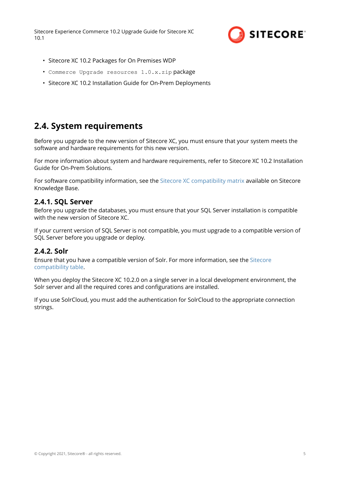

- <span id="page-4-0"></span>• Sitecore XC 10.2 Packages for On Premises WDP
- Commerce Upgrade resources 1.0.x.zip package
- Sitecore XC 10.2 Installation Guide for On-Prem Deployments

## **2.4. System requirements**

Before you upgrade to the new version of Sitecore XC, you must ensure that your system meets the software and hardware requirements for this new version.

For more information about system and hardware requirements, refer to Sitecore XC 10.2 Installation Guide for On-Prem Solutions.

For software compatibility information, see the [Sitecore XC compatibility matrix](https://support.sitecore.com/kb?id=kb_article_view&sysparm_article=KB0804595) available on Sitecore Knowledge Base.

#### **2.4.1. SQL Server**

Before you upgrade the databases, you must ensure that your SQL Server installation is compatible with the new version of Sitecore XC.

If your current version of SQL Server is not compatible, you must upgrade to a compatible version of SQL Server before you upgrade or deploy.

### **2.4.2. Solr**

Ensure that you have a compatible version of Solr. For more information, see the [Sitecore](https://support.sitecore.com/kb?id=kb_article_view&sysparm_article=KB0227897) [compatibility table](https://support.sitecore.com/kb?id=kb_article_view&sysparm_article=KB0227897).

When you deploy the Sitecore XC 10.2.0 on a single server in a local development environment, the Solr server and all the required cores and configurations are installed.

If you use SolrCloud, you must add the authentication for SolrCloud to the appropriate connection strings.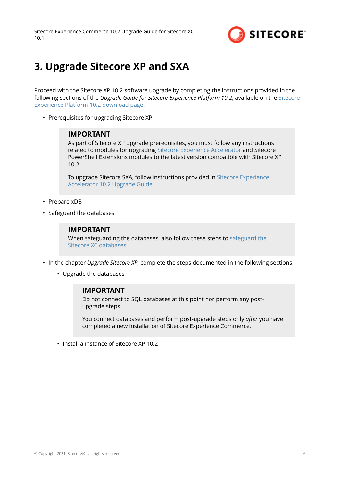

# <span id="page-5-0"></span>**3. Upgrade Sitecore XP and SXA**

Proceed with the Sitecore XP 10.2 software upgrade by completing the instructions provided in the following sections of the *Upgrade Guide for Sitecore Experience Platform 10.2*, available on the [Sitecore](https://dev.sitecore.net/Downloads/Sitecore_Experience_Platform/102/Sitecore_Experience_Platform_102.aspx) [Experience Platform 10.2 download page.](https://dev.sitecore.net/Downloads/Sitecore_Experience_Platform/102/Sitecore_Experience_Platform_102.aspx)

• Prerequisites for upgrading Sitecore XP

#### **IMPORTANT**

As part of Sitecore XP upgrade prerequisites, you must follow any instructions related to modules for upgrading [Sitecore Experience Accelerator](https://dev.sitecore.net/Downloads/Sitecore_Experience_Accelerator/10x/Sitecore_Experience_Accelerator_1020.aspx) and Sitecore PowerShell Extensions modules to the latest version compatible with Sitecore XP 10.2.

To upgrade Sitecore SXA, follow instructions provided in [Sitecore Experience](https://dev.sitecore.net/Downloads/Sitecore_Experience_Accelerator/10x/Sitecore_Experience_Accelerator_1020.aspx) [Accelerator 10.2 Upgrade Guide](https://dev.sitecore.net/Downloads/Sitecore_Experience_Accelerator/10x/Sitecore_Experience_Accelerator_1020.aspx).

- Prepare xDB
- Safeguard the databases

#### **IMPORTANT**

When safeguarding the databases, also follow these steps to [safeguard the](#page-6-0) [Sitecore XC databases](#page-6-0).

- In the chapter *Upgrade Sitecore XP*, complete the steps documented in the following sections:
	- Upgrade the databases

#### **IMPORTANT**

Do not connect to SQL databases at this point nor perform any postupgrade steps.

You connect databases and perform post-upgrade steps only *after* you have completed a new installation of Sitecore Experience Commerce.

• Install a instance of Sitecore XP 10.2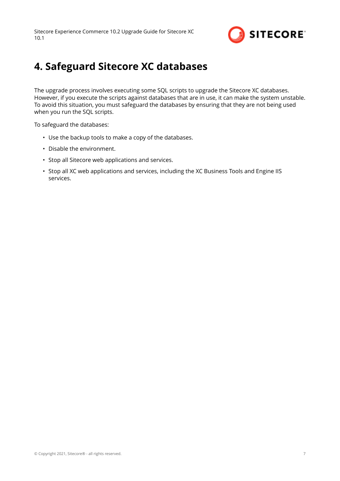

# <span id="page-6-0"></span>**4. Safeguard Sitecore XC databases**

The upgrade process involves executing some SQL scripts to upgrade the Sitecore XC databases. However, if you execute the scripts against databases that are in use, it can make the system unstable. To avoid this situation, you must safeguard the databases by ensuring that they are not being used when you run the SQL scripts.

To safeguard the databases:

- Use the backup tools to make a copy of the databases.
- Disable the environment.
- Stop all Sitecore web applications and services.
- Stop all XC web applications and services, including the XC Business Tools and Engine IIS services.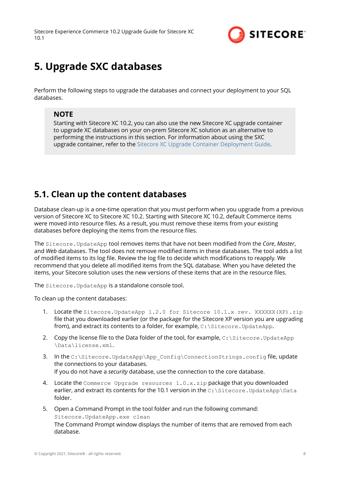

# <span id="page-7-0"></span>**5. Upgrade SXC databases**

Perform the following steps to upgrade the databases and connect your deployment to your SQL databases.

## **NOTE**

Starting with Sitecore XC 10.2, you can also use the new Sitecore XC upgrade container to upgrade XC databases on your on-prem Sitecore XC solution as an alternative to performing the instructions in this section. For information about using the SXC upgrade container, refer to the [Sitecore XC Upgrade Container Deployment Guide](https://dev.sitecore.net/Downloads/Sitecore_Commerce/102/Sitecore_Experience_Commerce_102.aspx).

## **5.1. Clean up the content databases**

Database clean-up is a one-time operation that you must perform when you upgrade from a previous version of Sitecore XC to Sitecore XC 10.2. Starting with Sitecore XC 10.2, default Commerce items were moved into resource files. As a result, you must remove these items from your existing databases before deploying the items from the resource files

The Sitecore.UpdateApp tool removes items that have not been modified from the *Core*, *Master*, and *Web* databases. The tool does not remove modified items in these databases. The tool adds a list of modified items to its log file. Review the log file to decide which modifications to reapply. We recommend that you delete all modified items from the SQL database. When you have deleted the items, your Sitecore solution uses the new versions of these items that are in the resource files

The Sitecore. UpdateApp is a standalone console tool.

To clean up the content databases:

- 1. Locate the Sitecore. UpdateApp 1.2.0 for Sitecore 10.1.x rev. XXXXXX(XP).zip file that you downloaded earlier (or the package for the Sitecore XP version you are upgrading from), and extract its contents to a folder, for example,  $C:\$ \text{intercept}, \text{square}. \text{UpdateApp}.$
- 2. Copy the license file to the Data folder of the tool, for example,  $C:\S$ itecore. UpdateApp \Data\license.xml.
- 3. In the C:\Sitecore.UpdateApp\App\_Config\ConnectionStrings.config file, update the connections to your databases. If you do not have a *security* database, use the connection to the core database.
- 4. Locate the Commerce Upgrade resources 1.0.x.zip package that you downloaded earlier, and extract its contents for the 10.1 version in the C: \Sitecore.UpdateApp\Data folder.
- 5. Open a Command Prompt in the tool folder and run the following command: Sitecore.UpdateApp.exe clean The Command Prompt window displays the number of items that are removed from each database.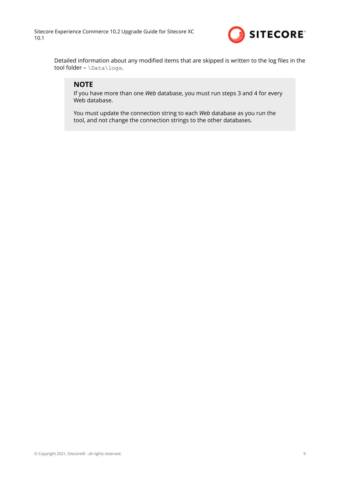

Detailed information about any modified items that are skipped is written to the log files in the tool folder - \Data\logs.

### **NOTE**

If you have more than one *Web* database, you must run steps 3 and 4 for every Web database.

You must update the connection string to each *Web* database as you run the tool, and not change the connection strings to the other databases.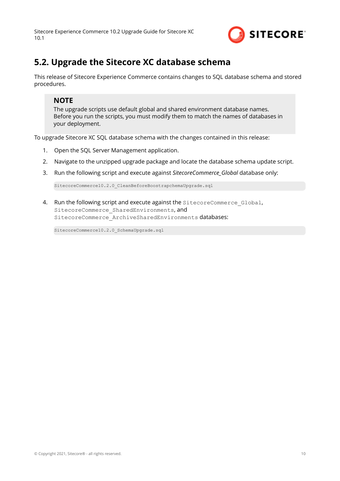

# <span id="page-9-0"></span>**5.2. Upgrade the Sitecore XC database schema**

This release of Sitecore Experience Commerce contains changes to SQL database schema and stored procedures.

### **NOTE**

The upgrade scripts use default global and shared environment database names. Before you run the scripts, you must modify them to match the names of databases in your deployment.

To upgrade Sitecore XC SQL database schema with the changes contained in this release:

- 1. Open the SQL Server Management application.
- 2. Navigate to the unzipped upgrade package and locate the database schema update script.
- 3. Run the following script and execute against *SitecoreCommerce\_Global* database only:

SitecoreCommerce10.2.0\_CleanBeforeBoostrapchemaUpgrade.sql

4. Run the following script and execute against the SitecoreCommerce Global, SitecoreCommerce SharedEnvironments. and SitecoreCommerce ArchiveSharedEnvironments databases:

SitecoreCommerce10.2.0 SchemaUpgrade.sql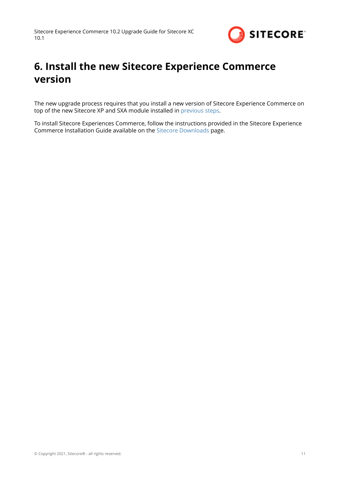

# <span id="page-10-0"></span>**6. Install the new Sitecore Experience Commerce version**

The new upgrade process requires that you install a new version of Sitecore Experience Commerce on top of the new Sitecore XP and SXA module installed in [previous steps](#page-5-0).

To install Sitecore Experiences Commerce, follow the instructions provided in the Sitecore Experience Commerce Installation Guide available on the [Sitecore Downloads](https://dev.sitecore.net/Downloads/Sitecore_Commerce/102/Sitecore_Experience_Commerce_102.aspx) page.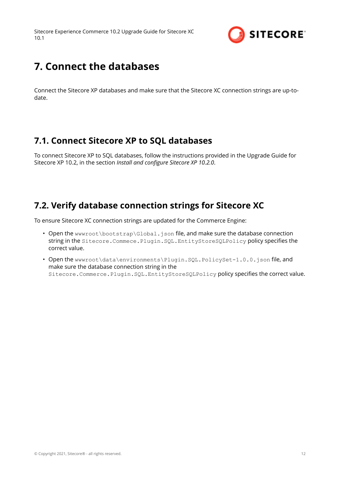

# <span id="page-11-0"></span>**7. Connect the databases**

Connect the Sitecore XP databases and make sure that the Sitecore XC connection strings are up-todate.

## **7.1. Connect Sitecore XP to SQL databases**

To connect Sitecore XP to SQL databases, follow the instructions provided in the Upgrade Guide for Sitecore XP 10.2, in the section *Install and configure Sitecore XP 10.2.0*.

## **7.2. Verify database connection strings for Sitecore XC**

To ensure Sitecore XC connection strings are updated for the Commerce Engine:

- Open the wwwroot\bootstrap\Global.json file, and make sure the database connection string in the Sitecore.Commece.Plugin.SQL.EntityStoreSQLPolicy policy specifies the correct value.
- Open the wwwroot\data\environments\Plugin.SQL.PolicySet-1.0.0.json file, and make sure the database connection string in the Sitecore.Commerce.Plugin.SQL.EntityStoreSQLPolicy policy specifies the correct value.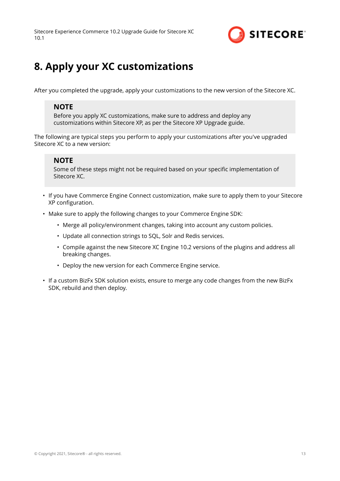

# <span id="page-12-0"></span>**8. Apply your XC customizations**

After you completed the upgrade, apply your customizations to the new version of the Sitecore XC.

### **NOTE**

Before you apply XC customizations, make sure to address and deploy any customizations within Sitecore XP, as per the Sitecore XP Upgrade guide.

The following are typical steps you perform to apply your customizations after you've upgraded Sitecore XC to a new version:

### **NOTE**

Some of these steps might not be required based on your specific implementation of Sitecore XC.

- If you have Commerce Engine Connect customization, make sure to apply them to your Sitecore XP configuration.
- Make sure to apply the following changes to your Commerce Engine SDK:
	- Merge all policy/environment changes, taking into account any custom policies.
	- Update all connection strings to SQL, Solr and Redis services.
	- Compile against the new Sitecore XC Engine 10.2 versions of the plugins and address all breaking changes.
	- Deploy the new version for each Commerce Engine service.
- If a custom BizFx SDK solution exists, ensure to merge any code changes from the new BizFx SDK, rebuild and then deploy.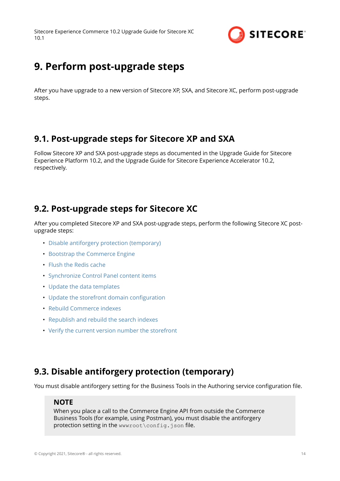

# <span id="page-13-0"></span>**9. Perform post-upgrade steps**

After you have upgrade to a new version of Sitecore XP, SXA, and Sitecore XC, perform post-upgrade steps.

## **9.1. Post-upgrade steps for Sitecore XP and SXA**

Follow Sitecore XP and SXA post-upgrade steps as documented in the Upgrade Guide for Sitecore Experience Platform 10.2, and the Upgrade Guide for Sitecore Experience Accelerator 10.2, respectively.

## **9.2. Post-upgrade steps for Sitecore XC**

After you completed Sitecore XP and SXA post-upgrade steps, perform the following Sitecore XC postupgrade steps:

- Disable antiforgery protection (temporary)
- [Bootstrap the Commerce Engine](#page-15-0)
- [Flush the Redis cache](#page-15-0)
- [Synchronize Control Panel content items](#page-16-0)
- [Update the data templates](#page-17-0)
- Update the storefront domain configuration
- [Rebuild Commerce indexes](#page-19-0)
- [Republish and rebuild the search indexes](#page-20-0)
- [Verify the current version number the storefront](#page-20-0)

## **9.3. Disable antiforgery protection (temporary)**

You must disable antiforgery setting for the Business Tools in the Authoring service configuration file.

### **NOTE**

When you place a call to the Commerce Engine API from outside the Commerce Business Tools (for example, using Postman), you must disable the antiforgery protection setting in the wwwroot\config.json file.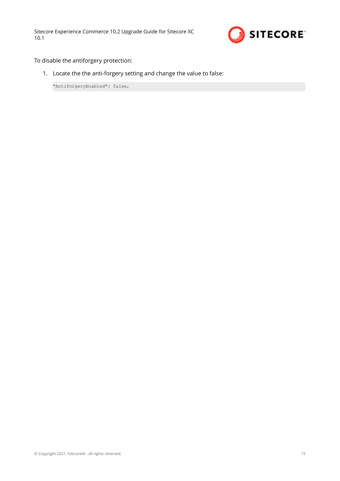

To disable the antiforgery protection:

1. Locate the the anti-forgery setting and change the value to false:

"AntiForgeryEnabled": false,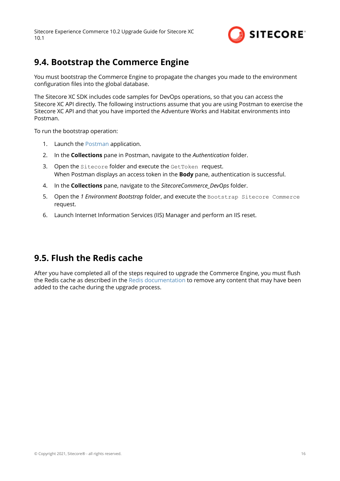

## <span id="page-15-0"></span>**9.4. Bootstrap the Commerce Engine**

You must bootstrap the Commerce Engine to propagate the changes you made to the environment configuration files into the global database.

The Sitecore XC SDK includes code samples for DevOps operations, so that you can access the Sitecore XC API directly. The following instructions assume that you are using Postman to exercise the Sitecore XC API and that you have imported the Adventure Works and Habitat environments into Postman.

To run the bootstrap operation:

- 1. Launch the [Postman](https://www.getpostman.com/apps) application.
- 2. In the **Collections** pane in Postman, navigate to the *Authentication* folder.
- 3. Open the Sitecore folder and execute the GetToken request. When Postman displays an access token in the **Body** pane, authentication is successful.
- 4. In the **Collections** pane, navigate to the *SitecoreCommerce\_DevOps* folder.
- 5. Open the *1 Environment Bootstrap* folder, and execute the Bootstrap Sitecore Commerce request.
- 6. Launch Internet Information Services (IIS) Manager and perform an IIS reset.

## **9.5. Flush the Redis cache**

After you have completed all of the steps required to upgrade the Commerce Engine, you must flush the Redis cache as described in the [Redis documentation](https://redis.io/documentation) to remove any content that may have been added to the cache during the upgrade process.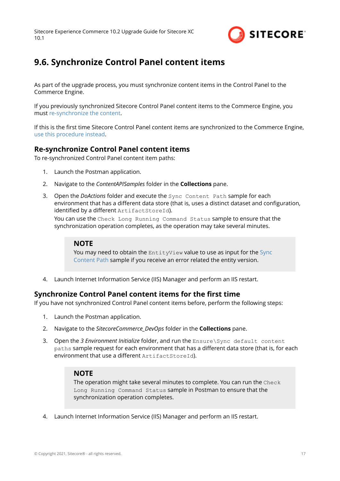

## <span id="page-16-0"></span>**9.6. Synchronize Control Panel content items**

As part of the upgrade process, you must synchronize content items in the Control Panel to the Commerce Engine.

If you previously synchronized Sitecore Control Panel content items to the Commerce Engine, you must re-synchronize the content.

If this is the first time Sitecore Control Panel content items are synchronized to the Commerce Engine, use this procedure instead.

### **Re-synchronize Control Panel content items**

To re-synchronized Control Panel content item paths:

- 1. Launch the Postman application.
- 2. Navigate to the *ContentAPISamples* folder in the **Collections** pane.
- 3. Open the *DoActions* folder and execute the Sync Content Path sample for each environment that has a different data store (that is, uses a distinct dataset and configuration, identified by a different ArtifactStoreId).

You can use the Check Long Running Command Status sample to ensure that the synchronization operation completes, as the operation may take several minutes.

#### **NOTE**

You may need to obtain the EntityView value to use as input for the [Sync](https://doc.sitecore.com/developers/102/sitecore-experience-commerce/en/synchronize-content-items.html) [Content Path](https://doc.sitecore.com/developers/102/sitecore-experience-commerce/en/synchronize-content-items.html) sample if you receive an error related the entity version.

4. Launch Internet Information Service (IIS) Manager and perform an IIS restart.

### **Synchronize Control Panel content items for the first time**

If you have not synchronized Control Panel content items before, perform the following steps:

- 1. Launch the Postman application.
- 2. Navigate to the *SitecoreCommerce\_DevOps* folder in the **Collections** pane.
- 3. Open the *3 Environment Initialize* folder, and run the Ensure\Sync default content paths sample request for each environment that has a different data store (that is, for each environment that use a different  $ArtifactStoreId$ .

#### **NOTE**

The operation might take several minutes to complete. You can run the Check Long Running Command Status sample in Postman to ensure that the synchronization operation completes.

4. Launch Internet Information Service (IIS) Manager and perform an IIS restart.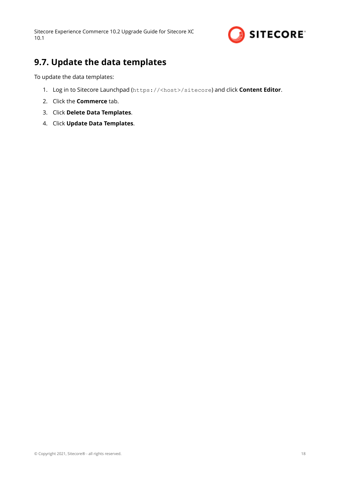

## <span id="page-17-0"></span>**9.7. Update the data templates**

To update the data templates:

- 1. Log in to Sitecore Launchpad (https://<host>/sitecore) and click **Content Editor**.
- 2. Click the **Commerce** tab.
- 3. Click **Delete Data Templates**.
- 4. Click **Update Data Templates**.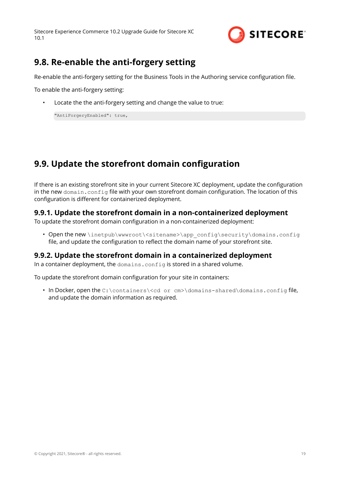

## <span id="page-18-0"></span>**9.8. Re-enable the anti-forgery setting**

Re-enable the anti-forgery setting for the Business Tools in the Authoring service configuration file.

To enable the anti-forgery setting:

Locate the the anti-forgery setting and change the value to true:

"AntiForgeryEnabled": true,

# **9.9. Update the storefront domain configuration**

If there is an existing storefront site in your current Sitecore XC deployment, update the configuration in the new domain.config file with your own storefront domain configuration. The location of this configuration is different for containerized deployment.

### **9.9.1. Update the storefront domain in a non-containerized deployment**

To update the storefront domain configuration in a non-containerized deployment:

• Open the new \inetpub\wwwroot\<sitename>\app\_config\security\domains.config file, and update the configuration to reflect the domain name of your storefront site.

### **9.9.2. Update the storefront domain in a containerized deployment**

In a container deployment, the domains.config is stored in a shared volume.

To update the storefront domain configuration for your site in containers:

• In Docker, open the C:\containers\<cd or cm>\domains-shared\domains.config file, and update the domain information as required.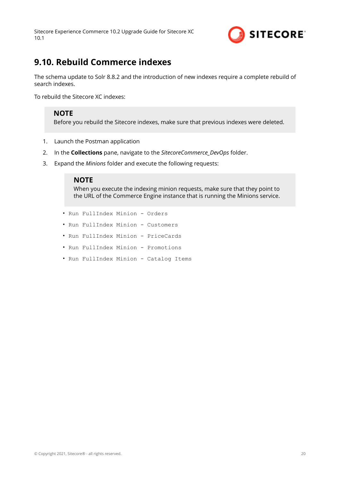

## <span id="page-19-0"></span>**9.10. Rebuild Commerce indexes**

The schema update to Solr 8.8.2 and the introduction of new indexes require a complete rebuild of search indexes.

To rebuild the Sitecore XC indexes:

### **NOTE**

Before you rebuild the Sitecore indexes, make sure that previous indexes were deleted.

- 1. Launch the Postman application
- 2. In the **Collections** pane, navigate to the *SitecoreCommerce\_DevOps* folder.
- 3. Expand the *Minions* folder and execute the following requests:

#### **NOTE**

When you execute the indexing minion requests, make sure that they point to the URL of the Commerce Engine instance that is running the Minions service.

- Run FullIndex Minion Orders
- Run FullIndex Minion Customers
- Run FullIndex Minion PriceCards
- Run FullIndex Minion Promotions
- Run FullIndex Minion Catalog Items